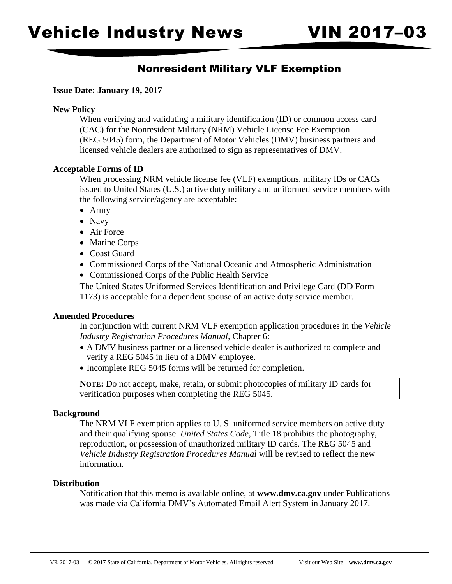## Nonresident Military VLF Exemption

### **Issue Date: January 19, 2017**

#### **New Policy**

When verifying and validating a military identification (ID) or common access card (CAC) for the Nonresident Military (NRM) Vehicle License Fee Exemption (REG 5045) form, the Department of Motor Vehicles (DMV) business partners and licensed vehicle dealers are authorized to sign as representatives of DMV.

#### **Acceptable Forms of ID**

When processing NRM vehicle license fee (VLF) exemptions, military IDs or CACs issued to United States (U.S.) active duty military and uniformed service members with the following service/agency are acceptable:

- Army
- Navy
- Air Force
- Marine Corps
- Coast Guard
- Commissioned Corps of the National Oceanic and Atmospheric Administration
- Commissioned Corps of the Public Health Service

The United States Uniformed Services Identification and Privilege Card (DD Form 1173) is acceptable for a dependent spouse of an active duty service member.

### **Amended Procedures**

In conjunction with current NRM VLF exemption application procedures in the *Vehicle Industry Registration Procedures Manual,* Chapter 6:

- A DMV business partner or a licensed vehicle dealer is authorized to complete and verify a REG 5045 in lieu of a DMV employee.
- Incomplete REG 5045 forms will be returned for completion.

**NOTE:** Do not accept, make, retain, or submit photocopies of military ID cards for verification purposes when completing the REG 5045.

### **Background**

The NRM VLF exemption applies to U. S. uniformed service members on active duty and their qualifying spouse. *United States Code*, Title 18 prohibits the photography, reproduction, or possession of unauthorized military ID cards. The REG 5045 and *Vehicle Industry Registration Procedures Manual* will be revised to reflect the new information.

#### **Distribution**

Notification that this memo is available online, at **<www.dmv.ca.gov>** under Publications was made via California DMV's Automated Email Alert System in January 2017.